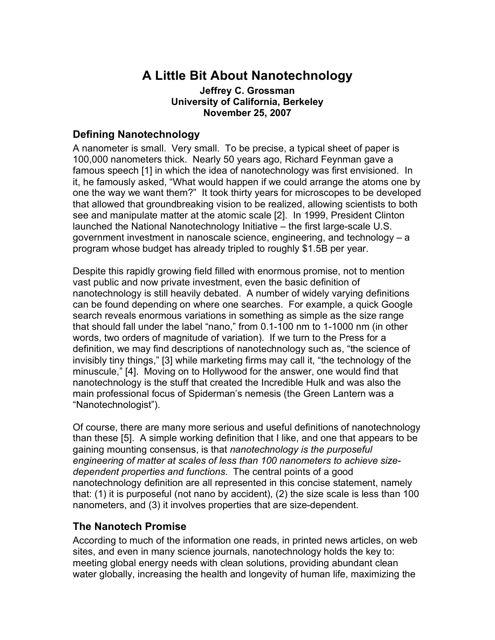# **A Little Bit About Nanotechnology**

#### **Jeffrey C. Grossman University of California, Berkeley November 25, 2007**

### **Defining Nanotechnology**

A nanometer is small. Very small. To be precise, a typical sheet of paper is 100,000 nanometers thick. Nearly 50 years ago, Richard Feynman gave a famous speech [1] in which the idea of nanotechnology was first envisioned. In it, he famously asked, "What would happen if we could arrange the atoms one by one the way we want them?" It took thirty years for microscopes to be developed that allowed that groundbreaking vision to be realized, allowing scientists to both see and manipulate matter at the atomic scale [2]. In 1999, President Clinton launched the National Nanotechnology Initiative – the first large-scale U.S. government investment in nanoscale science, engineering, and technology – a program whose budget has already tripled to roughly \$1.5B per year.

Despite this rapidly growing field filled with enormous promise, not to mention vast public and now private investment, even the basic definition of nanotechnology is still heavily debated. A number of widely varying definitions can be found depending on where one searches. For example, a quick Google search reveals enormous variations in something as simple as the size range that should fall under the label "nano," from 0.1-100 nm to 1-1000 nm (in other words, two orders of magnitude of variation). If we turn to the Press for a definition, we may find descriptions of nanotechnology such as, "the science of invisibly tiny things," [3] while marketing firms may call it, "the technology of the minuscule," [4]. Moving on to Hollywood for the answer, one would find that nanotechnology is the stuff that created the Incredible Hulk and was also the main professional focus of Spiderman's nemesis (the Green Lantern was a "Nanotechnologist").

Of course, there are many more serious and useful definitions of nanotechnology than these [5]. A simple working definition that I like, and one that appears to be gaining mounting consensus, is that *nanotechnology is the purposeful engineering of matter at scales of less than 100 nanometers to achieve sizedependent properties and functions*. The central points of a good nanotechnology definition are all represented in this concise statement, namely that: (1) it is purposeful (not nano by accident), (2) the size scale is less than 100 nanometers, and (3) it involves properties that are size-dependent.

### **The Nanotech Promise**

According to much of the information one reads, in printed news articles, on web sites, and even in many science journals, nanotechnology holds the key to: meeting global energy needs with clean solutions, providing abundant clean water globally, increasing the health and longevity of human life, maximizing the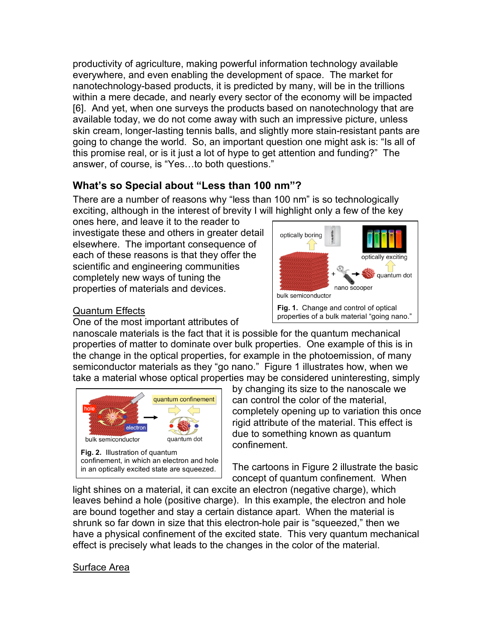productivity of agriculture, making powerful information technology available everywhere, and even enabling the development of space. The market for nanotechnology-based products, it is predicted by many, will be in the trillions within a mere decade, and nearly every sector of the economy will be impacted [6]. And yet, when one surveys the products based on nanotechnology that are available today, we do not come away with such an impressive picture, unless skin cream, longer-lasting tennis balls, and slightly more stain-resistant pants are going to change the world. So, an important question one might ask is: "Is all of this promise real, or is it just a lot of hype to get attention and funding?" The answer, of course, is "Yes…to both questions."

# **What's so Special about "Less than 100 nm"?**

There are a number of reasons why "less than 100 nm" is so technologically exciting, although in the interest of brevity I will highlight only a few of the key

ones here, and leave it to the reader to investigate these and others in greater detail elsewhere. The important consequence of each of these reasons is that they offer the scientific and engineering communities completely new ways of tuning the properties of materials and devices.

### Quantum Effects

One of the most important attributes of



nanoscale materials is the fact that it is possible for the quantum mechanical properties of matter to dominate over bulk properties. One example of this is in the change in the optical properties, for example in the photoemission, of many semiconductor materials as they "go nano." Figure 1 illustrates how, when we take a material whose optical properties may be considered uninteresting, simply



by changing its size to the nanoscale we can control the color of the material, completely opening up to variation this once rigid attribute of the material. This effect is due to something known as quantum confinement.

The cartoons in Figure 2 illustrate the basic concept of quantum confinement. When

light shines on a material, it can excite an electron (negative charge), which leaves behind a hole (positive charge). In this example, the electron and hole are bound together and stay a certain distance apart. When the material is shrunk so far down in size that this electron-hole pair is "squeezed," then we have a physical confinement of the excited state. This very quantum mechanical effect is precisely what leads to the changes in the color of the material.

### Surface Area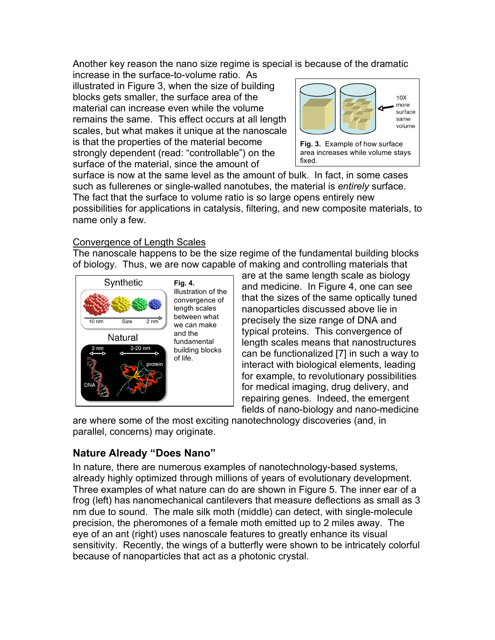Another key reason the nano size regime is special is because of the dramatic

increase in the surface-to-volume ratio. As illustrated in Figure 3, when the size of building blocks gets smaller, the surface area of the material can increase even while the volume remains the same. This effect occurs at all length scales, but what makes it unique at the nanoscale is that the properties of the material become strongly dependent (read: "controllable") on the surface of the material, since the amount of



fixed.

surface is now at the same level as the amount of bulk. In fact, in some cases such as fullerenes or single-walled nanotubes, the material is *entirely* surface. The fact that the surface to volume ratio is so large opens entirely new possibilities for applications in catalysis, filtering, and new composite materials, to name only a few.

#### Convergence of Length Scales

The nanoscale happens to be the size regime of the fundamental building blocks of biology. Thus, we are now capable of making and controlling materials that



are at the same length scale as biology and medicine. In Figure 4, one can see that the sizes of the same optically tuned nanoparticles discussed above lie in precisely the size range of DNA and typical proteins. This convergence of length scales means that nanostructures can be functionalized [7] in such a way to interact with biological elements, leading for example, to revolutionary possibilities for medical imaging, drug delivery, and repairing genes. Indeed, the emergent fields of nano-biology and nano-medicine

are where some of the most exciting nanotechnology discoveries (and, in parallel, concerns) may originate.

## **Nature Already "Does Nano"**

In nature, there are numerous examples of nanotechnology-based systems, already highly optimized through millions of years of evolutionary development. Three examples of what nature can do are shown in Figure 5. The inner ear of a frog (left) has nanomechanical cantilevers that measure deflections as small as 3 nm due to sound. The male silk moth (middle) can detect, with single-molecule precision, the pheromones of a female moth emitted up to 2 miles away. The eye of an ant (right) uses nanoscale features to greatly enhance its visual sensitivity. Recently, the wings of a butterfly were shown to be intricately colorful because of nanoparticles that act as a photonic crystal.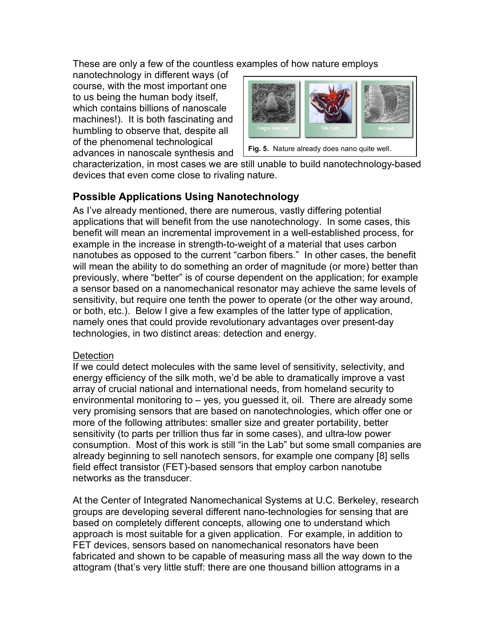These are only a few of the countless examples of how nature employs

nanotechnology in different ways (of course, with the most important one to us being the human body itself, which contains billions of nanoscale machines!). It is both fascinating and humbling to observe that, despite all of the phenomenal technological advances in nanoscale synthesis and



**Fig. 5.** Nature already does nano quite well.

characterization, in most cases we are still unable to build nanotechnology-based devices that even come close to rivaling nature.

## **Possible Applications Using Nanotechnology**

As I've already mentioned, there are numerous, vastly differing potential applications that will benefit from the use nanotechnology. In some cases, this benefit will mean an incremental improvement in a well-established process, for example in the increase in strength-to-weight of a material that uses carbon nanotubes as opposed to the current "carbon fibers." In other cases, the benefit will mean the ability to do something an order of magnitude (or more) better than previously, where "better" is of course dependent on the application; for example a sensor based on a nanomechanical resonator may achieve the same levels of sensitivity, but require one tenth the power to operate (or the other way around, or both, etc.). Below I give a few examples of the latter type of application, namely ones that could provide revolutionary advantages over present-day technologies, in two distinct areas: detection and energy.

### **Detection**

If we could detect molecules with the same level of sensitivity, selectivity, and energy efficiency of the silk moth, we'd be able to dramatically improve a vast array of crucial national and international needs, from homeland security to environmental monitoring to – yes, you guessed it, oil. There are already some very promising sensors that are based on nanotechnologies, which offer one or more of the following attributes: smaller size and greater portability, better sensitivity (to parts per trillion thus far in some cases), and ultra-low power consumption. Most of this work is still "in the Lab" but some small companies are already beginning to sell nanotech sensors, for example one company [8] sells field effect transistor (FET)-based sensors that employ carbon nanotube networks as the transducer.

At the Center of Integrated Nanomechanical Systems at U.C. Berkeley, research groups are developing several different nano-technologies for sensing that are based on completely different concepts, allowing one to understand which approach is most suitable for a given application. For example, in addition to FET devices, sensors based on nanomechanical resonators have been fabricated and shown to be capable of measuring mass all the way down to the attogram (that's very little stuff: there are one thousand billion attograms in a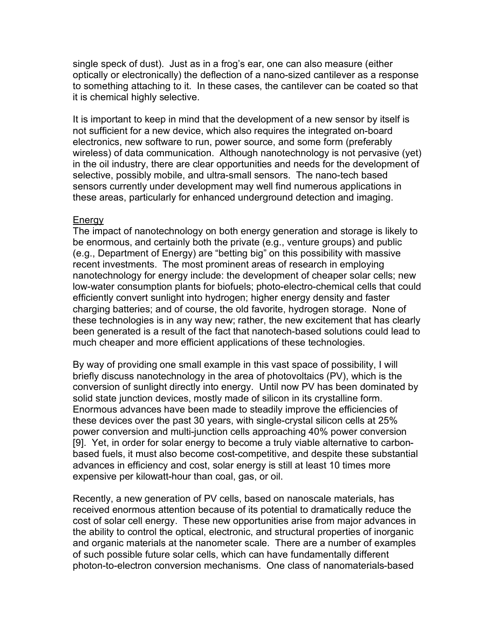single speck of dust). Just as in a frog's ear, one can also measure (either optically or electronically) the deflection of a nano-sized cantilever as a response to something attaching to it. In these cases, the cantilever can be coated so that it is chemical highly selective.

It is important to keep in mind that the development of a new sensor by itself is not sufficient for a new device, which also requires the integrated on-board electronics, new software to run, power source, and some form (preferably wireless) of data communication. Although nanotechnology is not pervasive (yet) in the oil industry, there are clear opportunities and needs for the development of selective, possibly mobile, and ultra-small sensors. The nano-tech based sensors currently under development may well find numerous applications in these areas, particularly for enhanced underground detection and imaging.

#### **Energy**

The impact of nanotechnology on both energy generation and storage is likely to be enormous, and certainly both the private (e.g., venture groups) and public (e.g., Department of Energy) are "betting big" on this possibility with massive recent investments. The most prominent areas of research in employing nanotechnology for energy include: the development of cheaper solar cells; new low-water consumption plants for biofuels; photo-electro-chemical cells that could efficiently convert sunlight into hydrogen; higher energy density and faster charging batteries; and of course, the old favorite, hydrogen storage. None of these technologies is in any way new; rather, the new excitement that has clearly been generated is a result of the fact that nanotech-based solutions could lead to much cheaper and more efficient applications of these technologies.

By way of providing one small example in this vast space of possibility, I will briefly discuss nanotechnology in the area of photovoltaics (PV), which is the conversion of sunlight directly into energy. Until now PV has been dominated by solid state junction devices, mostly made of silicon in its crystalline form. Enormous advances have been made to steadily improve the efficiencies of these devices over the past 30 years, with single-crystal silicon cells at 25% power conversion and multi-junction cells approaching 40% power conversion [9]. Yet, in order for solar energy to become a truly viable alternative to carbonbased fuels, it must also become cost-competitive, and despite these substantial advances in efficiency and cost, solar energy is still at least 10 times more expensive per kilowatt-hour than coal, gas, or oil.

Recently, a new generation of PV cells, based on nanoscale materials, has received enormous attention because of its potential to dramatically reduce the cost of solar cell energy. These new opportunities arise from major advances in the ability to control the optical, electronic, and structural properties of inorganic and organic materials at the nanometer scale. There are a number of examples of such possible future solar cells, which can have fundamentally different photon-to-electron conversion mechanisms. One class of nanomaterials-based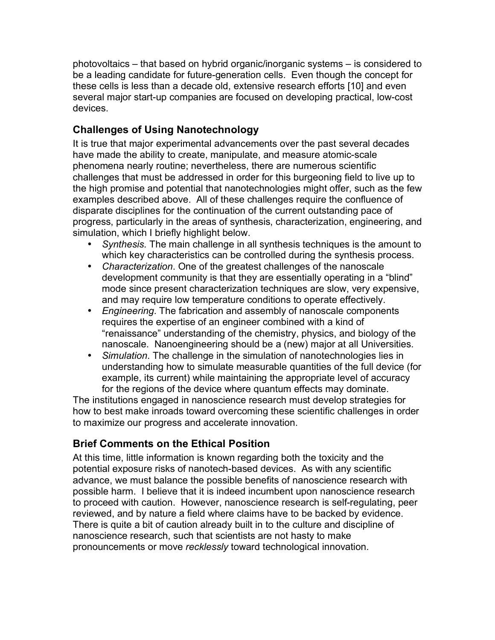photovoltaics – that based on hybrid organic/inorganic systems – is considered to be a leading candidate for future-generation cells. Even though the concept for these cells is less than a decade old, extensive research efforts [10] and even several major start-up companies are focused on developing practical, low-cost devices.

# **Challenges of Using Nanotechnology**

It is true that major experimental advancements over the past several decades have made the ability to create, manipulate, and measure atomic-scale phenomena nearly routine; nevertheless, there are numerous scientific challenges that must be addressed in order for this burgeoning field to live up to the high promise and potential that nanotechnologies might offer, such as the few examples described above. All of these challenges require the confluence of disparate disciplines for the continuation of the current outstanding pace of progress, particularly in the areas of synthesis, characterization, engineering, and simulation, which I briefly highlight below.

- *Synthesis.* The main challenge in all synthesis techniques is the amount to which key characteristics can be controlled during the synthesis process.
- *Characterization*. One of the greatest challenges of the nanoscale development community is that they are essentially operating in a "blind" mode since present characterization techniques are slow, very expensive, and may require low temperature conditions to operate effectively.
- *Engineering*. The fabrication and assembly of nanoscale components requires the expertise of an engineer combined with a kind of "renaissance" understanding of the chemistry, physics, and biology of the nanoscale. Nanoengineering should be a (new) major at all Universities.
- *Simulation*. The challenge in the simulation of nanotechnologies lies in understanding how to simulate measurable quantities of the full device (for example, its current) while maintaining the appropriate level of accuracy for the regions of the device where quantum effects may dominate.

The institutions engaged in nanoscience research must develop strategies for how to best make inroads toward overcoming these scientific challenges in order to maximize our progress and accelerate innovation.

## **Brief Comments on the Ethical Position**

At this time, little information is known regarding both the toxicity and the potential exposure risks of nanotech-based devices. As with any scientific advance, we must balance the possible benefits of nanoscience research with possible harm. I believe that it is indeed incumbent upon nanoscience research to proceed with caution. However, nanoscience research is self-regulating, peer reviewed, and by nature a field where claims have to be backed by evidence. There is quite a bit of caution already built in to the culture and discipline of nanoscience research, such that scientists are not hasty to make pronouncements or move *recklessly* toward technological innovation.